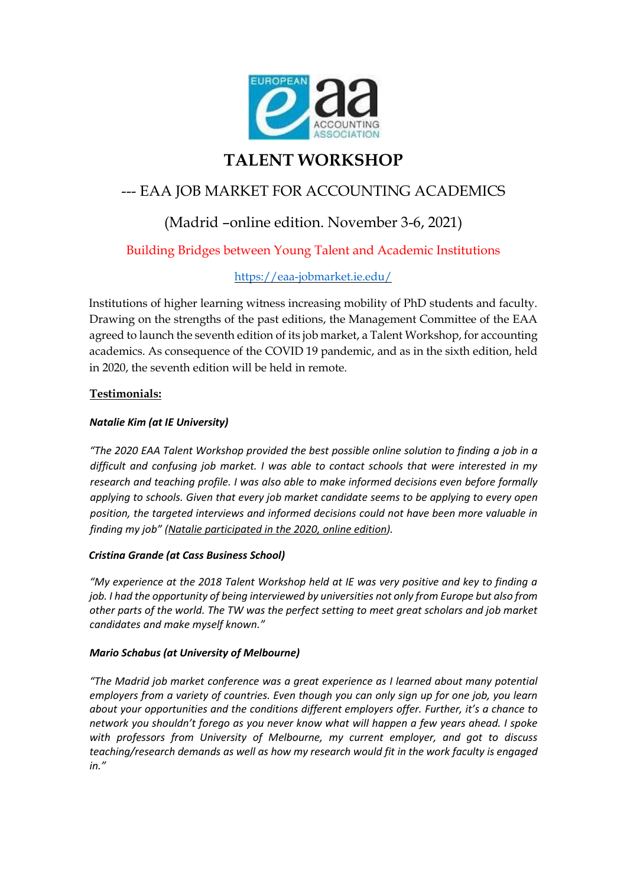

# **TALENT WORKSHOP**

## --- EAA JOB MARKET FOR ACCOUNTING ACADEMICS

## (Madrid –online edition. November 3-6, 2021)

### Building Bridges between Young Talent and Academic Institutions

### <https://eaa-jobmarket.ie.edu/>

Institutions of higher learning witness increasing mobility of PhD students and faculty. Drawing on the strengths of the past editions, the Management Committee of the EAA agreed to launch the seventh edition of its job market, a Talent Workshop, for accounting academics. As consequence of the COVID 19 pandemic, and as in the sixth edition, held in 2020, the seventh edition will be held in remote.

#### **Testimonials:**

#### *Natalie Kim (at IE University)*

*"The 2020 EAA Talent Workshop provided the best possible online solution to finding a job in a difficult and confusing job market. I was able to contact schools that were interested in my research and teaching profile. I was also able to make informed decisions even before formally applying to schools. Given that every job market candidate seems to be applying to every open position, the targeted interviews and informed decisions could not have been more valuable in finding my job" (Natalie participated in the 2020, online edition).*

#### *Cristina Grande (at Cass Business School)*

*"My experience at the 2018 Talent Workshop held at IE was very positive and key to finding a job. I had the opportunity of being interviewed by universities not only from Europe but also from other parts of the world. The TW was the perfect setting to meet great scholars and job market candidates and make myself known."*

#### *Mario Schabus (at University of Melbourne)*

*"The Madrid job market conference was a great experience as I learned about many potential employers from a variety of countries. Even though you can only sign up for one job, you learn about your opportunities and the conditions different employers offer. Further, it's a chance to network you shouldn't forego as you never know what will happen a few years ahead. I spoke with professors from University of Melbourne, my current employer, and got to discuss teaching/research demands as well as how my research would fit in the work faculty is engaged in."*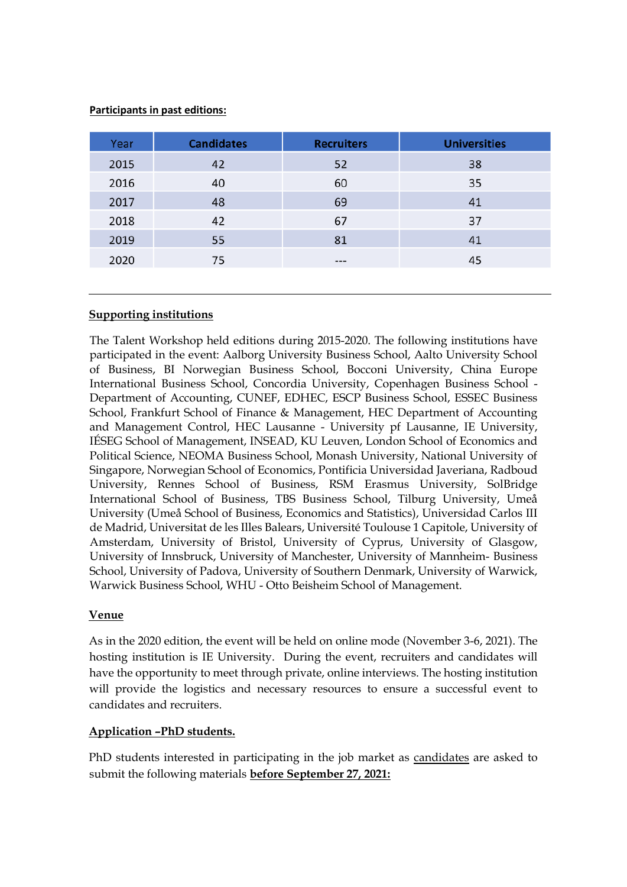#### **Participants in past editions:**

| Year | <b>Candidates</b> | <b>Recruiters</b> | <b>Universities</b> |
|------|-------------------|-------------------|---------------------|
| 2015 | 42                | 52                | 38                  |
| 2016 | 40                | 60                | 35                  |
| 2017 | 48                | 69                | 41                  |
| 2018 | 42                | 67                | 37                  |
| 2019 | 55                | 81                | 41                  |
| 2020 | 75                | $-- -$            | 45                  |

#### **Supporting institutions**

The Talent Workshop held editions during 2015-2020. The following institutions have participated in the event: Aalborg University Business School, Aalto University School of Business, BI Norwegian Business School, Bocconi University, China Europe International Business School, Concordia University, Copenhagen Business School - Department of Accounting, CUNEF, EDHEC, ESCP Business School, ESSEC Business School, Frankfurt School of Finance & Management, HEC Department of Accounting and Management Control, HEC Lausanne - University pf Lausanne, IE University, IÉSEG School of Management, INSEAD, KU Leuven, London School of Economics and Political Science, NEOMA Business School, Monash University, National University of Singapore, Norwegian School of Economics, Pontificia Universidad Javeriana, Radboud University, Rennes School of Business, RSM Erasmus University, SolBridge International School of Business, TBS Business School, Tilburg University, Umeå University (Umeå School of Business, Economics and Statistics), Universidad Carlos III de Madrid, Universitat de les Illes Balears, Université Toulouse 1 Capitole, University of Amsterdam, University of Bristol, University of Cyprus, University of Glasgow, University of Innsbruck, University of Manchester, University of Mannheim- Business School, University of Padova, University of Southern Denmark, University of Warwick, Warwick Business School, WHU - Otto Beisheim School of Management.

#### **Venue**

As in the 2020 edition, the event will be held on online mode (November 3-6, 2021). The hosting institution is IE University. During the event, recruiters and candidates will have the opportunity to meet through private, online interviews. The hosting institution will provide the logistics and necessary resources to ensure a successful event to candidates and recruiters.

#### **Application –PhD students.**

PhD students interested in participating in the job market as candidates are asked to submit the following materials **before September 27, 2021:**